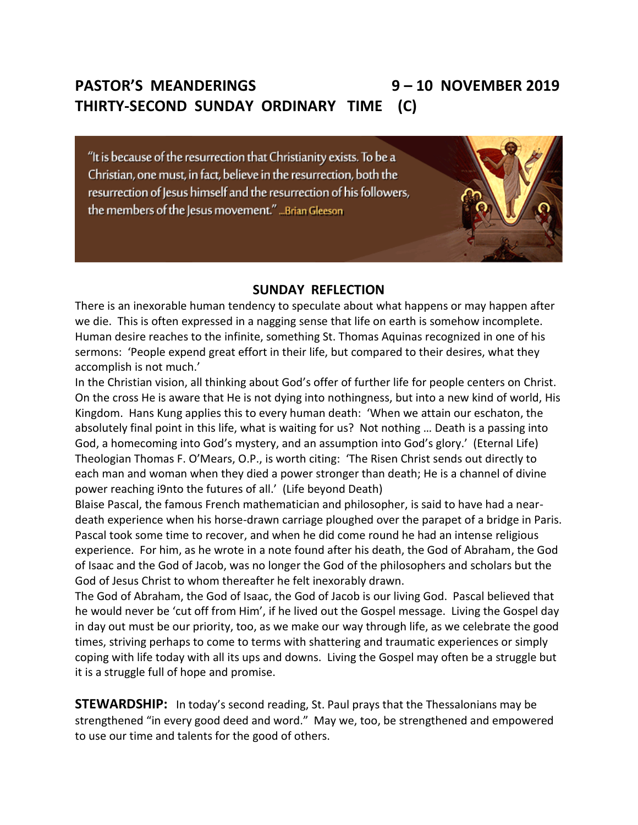## **PASTOR'S MEANDERINGS 9 – 10 NOVEMBER 2019 THIRTY-SECOND SUNDAY ORDINARY TIME (C)**

"It is because of the resurrection that Christianity exists. To be a Christian, one must, in fact, believe in the resurrection, both the resurrection of Jesus himself and the resurrection of his followers, the members of the Jesus movement." ... Brian Gleeson

### **SUNDAY REFLECTION**

There is an inexorable human tendency to speculate about what happens or may happen after we die. This is often expressed in a nagging sense that life on earth is somehow incomplete. Human desire reaches to the infinite, something St. Thomas Aquinas recognized in one of his sermons: 'People expend great effort in their life, but compared to their desires, what they accomplish is not much.'

In the Christian vision, all thinking about God's offer of further life for people centers on Christ. On the cross He is aware that He is not dying into nothingness, but into a new kind of world, His Kingdom. Hans Kung applies this to every human death: 'When we attain our eschaton, the absolutely final point in this life, what is waiting for us? Not nothing … Death is a passing into God, a homecoming into God's mystery, and an assumption into God's glory.' (Eternal Life) Theologian Thomas F. O'Mears, O.P., is worth citing: 'The Risen Christ sends out directly to each man and woman when they died a power stronger than death; He is a channel of divine power reaching i9nto the futures of all.' (Life beyond Death)

Blaise Pascal, the famous French mathematician and philosopher, is said to have had a neardeath experience when his horse-drawn carriage ploughed over the parapet of a bridge in Paris. Pascal took some time to recover, and when he did come round he had an intense religious experience. For him, as he wrote in a note found after his death, the God of Abraham, the God of Isaac and the God of Jacob, was no longer the God of the philosophers and scholars but the God of Jesus Christ to whom thereafter he felt inexorably drawn.

The God of Abraham, the God of Isaac, the God of Jacob is our living God. Pascal believed that he would never be 'cut off from Him', if he lived out the Gospel message. Living the Gospel day in day out must be our priority, too, as we make our way through life, as we celebrate the good times, striving perhaps to come to terms with shattering and traumatic experiences or simply coping with life today with all its ups and downs. Living the Gospel may often be a struggle but it is a struggle full of hope and promise.

**STEWARDSHIP:** In today's second reading, St. Paul prays that the Thessalonians may be strengthened "in every good deed and word." May we, too, be strengthened and empowered to use our time and talents for the good of others.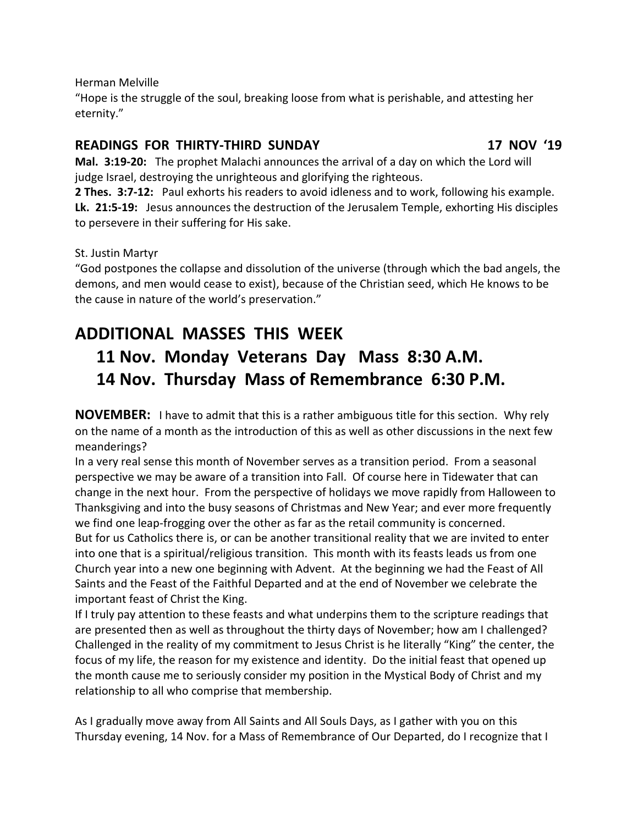Herman Melville

"Hope is the struggle of the soul, breaking loose from what is perishable, and attesting her eternity."

#### **READINGS FOR THIRTY-THIRD SUNDAY 17 NOV '19**

**Mal. 3:19-20:** The prophet Malachi announces the arrival of a day on which the Lord will judge Israel, destroying the unrighteous and glorifying the righteous.

**2 Thes. 3:7-12:** Paul exhorts his readers to avoid idleness and to work, following his example. **Lk. 21:5-19:** Jesus announces the destruction of the Jerusalem Temple, exhorting His disciples to persevere in their suffering for His sake.

St. Justin Martyr

"God postpones the collapse and dissolution of the universe (through which the bad angels, the demons, and men would cease to exist), because of the Christian seed, which He knows to be the cause in nature of the world's preservation."

# **ADDITIONAL MASSES THIS WEEK 11 Nov. Monday Veterans Day Mass 8:30 A.M. 14 Nov. Thursday Mass of Remembrance 6:30 P.M.**

**NOVEMBER:** I have to admit that this is a rather ambiguous title for this section. Why rely on the name of a month as the introduction of this as well as other discussions in the next few meanderings?

In a very real sense this month of November serves as a transition period. From a seasonal perspective we may be aware of a transition into Fall. Of course here in Tidewater that can change in the next hour. From the perspective of holidays we move rapidly from Halloween to Thanksgiving and into the busy seasons of Christmas and New Year; and ever more frequently we find one leap-frogging over the other as far as the retail community is concerned. But for us Catholics there is, or can be another transitional reality that we are invited to enter into one that is a spiritual/religious transition. This month with its feasts leads us from one Church year into a new one beginning with Advent. At the beginning we had the Feast of All Saints and the Feast of the Faithful Departed and at the end of November we celebrate the important feast of Christ the King.

If I truly pay attention to these feasts and what underpins them to the scripture readings that are presented then as well as throughout the thirty days of November; how am I challenged? Challenged in the reality of my commitment to Jesus Christ is he literally "King" the center, the focus of my life, the reason for my existence and identity. Do the initial feast that opened up the month cause me to seriously consider my position in the Mystical Body of Christ and my relationship to all who comprise that membership.

As I gradually move away from All Saints and All Souls Days, as I gather with you on this Thursday evening, 14 Nov. for a Mass of Remembrance of Our Departed, do I recognize that I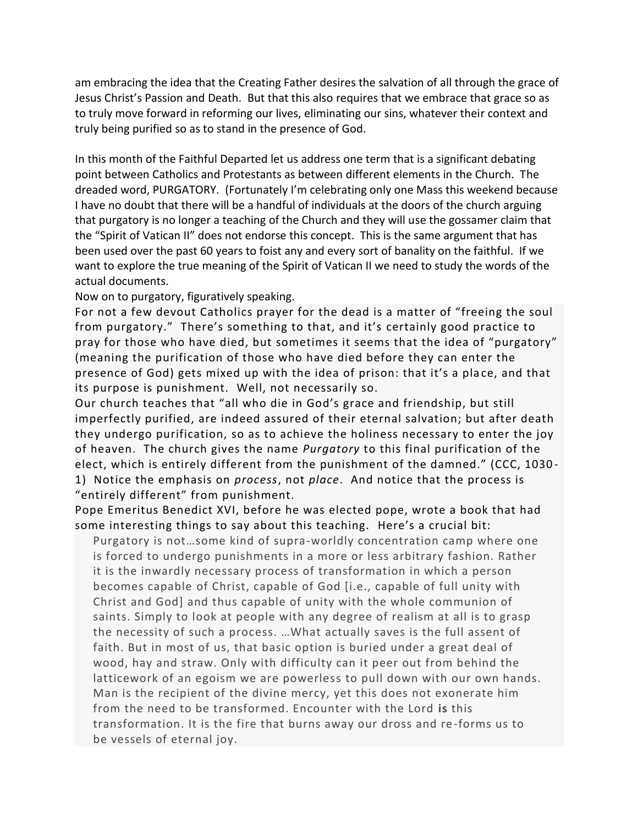am embracing the idea that the Creating Father desires the salvation of all through the grace of Jesus Christ's Passion and Death. But that this also requires that we embrace that grace so as to truly move forward in reforming our lives, eliminating our sins, whatever their context and truly being purified so as to stand in the presence of God.

In this month of the Faithful Departed let us address one term that is a significant debating point between Catholics and Protestants as between different elements in the Church. The dreaded word, PURGATORY. (Fortunately I'm celebrating only one Mass this weekend because I have no doubt that there will be a handful of individuals at the doors of the church arguing that purgatory is no longer a teaching of the Church and they will use the gossamer claim that the "Spirit of Vatican II" does not endorse this concept. This is the same argument that has been used over the past 60 years to foist any and every sort of banality on the faithful. If we want to explore the true meaning of the Spirit of Vatican II we need to study the words of the actual documents.

Now on to purgatory, figuratively speaking.

For not a few devout Catholics prayer for the dead is a matter of "freeing the soul from purgatory." There's something to that, and it's certainly good practice to pray for those who have died, but sometimes it seems that the idea of "purgatory" (meaning the purification of those who have died before they can enter the presence of God) gets mixed up with the idea of prison: that it's a pla ce, and that its purpose is punishment. Well, not necessarily so.

Our church teaches that "all who die in God's grace and friendship, but still imperfectly purified, are indeed assured of their eternal salvation; but after death they undergo purification, so as to achieve the holiness necessary to enter the joy of heaven. The church gives the name *Purgatory* to this final purification of the elect, which is entirely different from the punishment of the damned." (CCC, 1030 - 1) Notice the emphasis on *process*, not *place*. And notice that the process is "entirely different" from punishment.

Pope Emeritus Benedict XVI, before he was elected pope, wrote a book that had some interesting things to say about this teaching. Here's a crucial bit:

 Purgatory is not…some kind of supra-worldly concentration camp where one is forced to undergo punishments in a more or less arbitrary fashion. Rather it is the inwardly necessary process of transformation in which a person becomes capable of Christ, capable of God [i.e., capable of full unity with Christ and God] and thus capable of unity with the whole communion of saints. Simply to look at people with any degree of realism at all is to grasp the necessity of such a process. …What actually saves is the full assent of faith. But in most of us, that basic option is buried under a great deal of wood, hay and straw. Only with difficulty can it peer out from behind the latticework of an egoism we are powerless to pull down with our own hands. Man is the recipient of the divine mercy, yet this does not exonerate him from the need to be transformed. Encounter with the Lord **is** this transformation. It is the fire that burns away our dross and re-forms us to be vessels of eternal joy.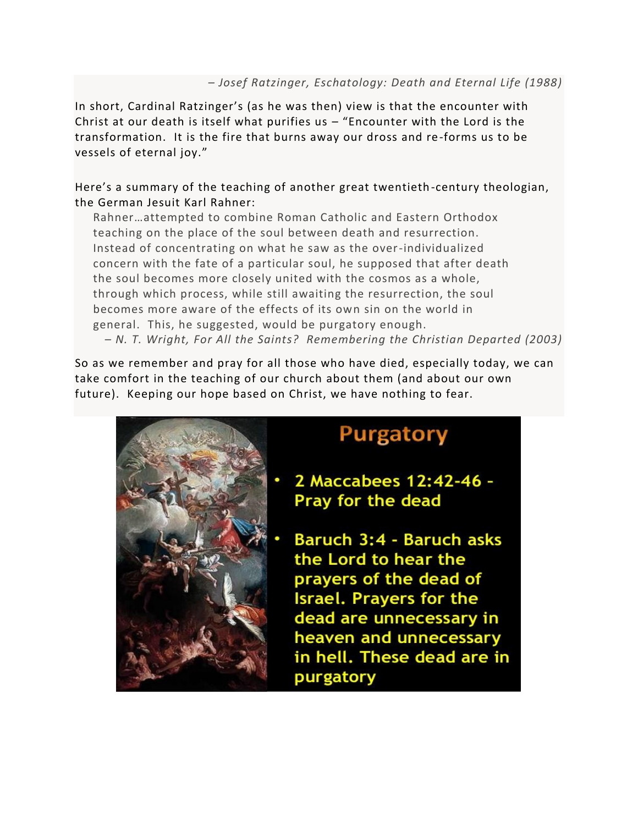#### *– Josef Ratzinger, Eschatology: Death and Eternal Life (1988)*

In short, Cardinal Ratzinger's (as he was then) view is that the encounter with Christ at our death is itself what purifies us – "Encounter with the Lord is the transformation. It is the fire that burns away our dross and re-forms us to be vessels of eternal joy."

#### Here's a summary of the teaching of another great twentieth-century theologian, the German Jesuit Karl Rahner:

 Rahner…attempted to combine Roman Catholic and Eastern Orthodox teaching on the place of the soul between death and resurrection. Instead of concentrating on what he saw as the over-individualized concern with the fate of a particular soul, he supposed that after death the soul becomes more closely united with the cosmos as a whole, through which process, while still awaiting the resurrection, the soul becomes more aware of the effects of its own sin on the world in general. This, he suggested, would be purgatory enough. *– N. T. Wright, For All the Saints? Remembering the Christian Departed (2003)*

So as we remember and pray for all those who have died, especially today, we can take comfort in the teaching of our church about them (and about our own future). Keeping our hope based on Christ, we have nothing to fear.



# **Purgatory**

- 2 Maccabees 12:42-46 -Pray for the dead
- Baruch 3:4 Baruch asks the Lord to hear the prayers of the dead of **Israel. Prayers for the** dead are unnecessary in heaven and unnecessary in hell. These dead are in purgatory